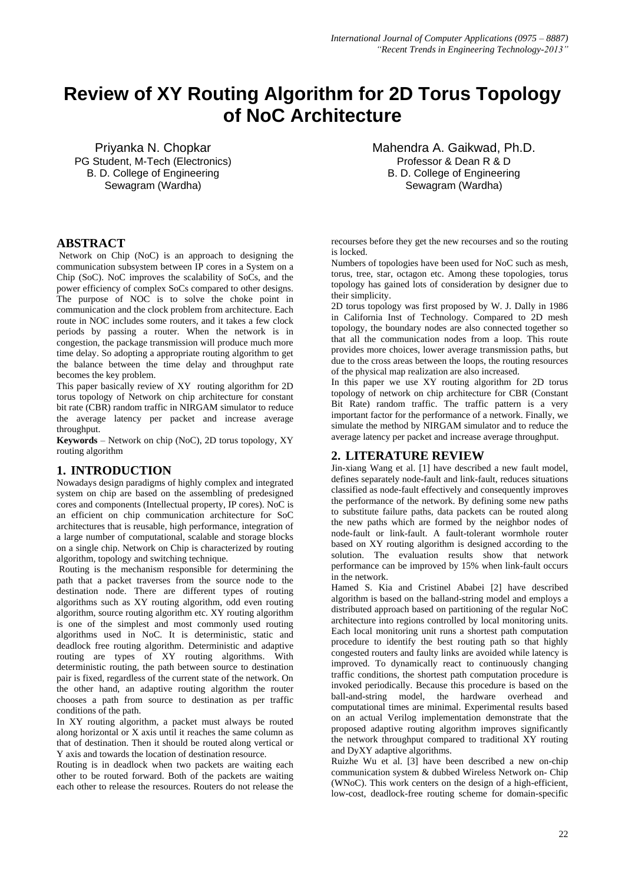# **Review of XY Routing Algorithm for 2D Torus Topology of NoC Architecture**

Priyanka N. Chopkar PG Student, M-Tech (Electronics) B. D. College of Engineering Sewagram (Wardha)

## **ABSTRACT**

Network on Chip (NoC) is an approach to designing the communication subsystem between [IP cores](http://en.wikipedia.org/wiki/Semiconductor_intellectual_property_core) in a [System on a](http://en.wikipedia.org/wiki/System-on-a-Chip)  [Chip](http://en.wikipedia.org/wiki/System-on-a-Chip) (SoC). NoC improves the scalability of SoCs, and the power efficiency of complex SoCs compared to other designs. The purpose of NOC is to solve the choke point in communication and the clock problem from architecture. Each route in NOC includes some routers, and it takes a few clock periods by passing a router. When the network is in congestion, the package transmission will produce much more time delay. So adopting a appropriate routing algorithm to get the balance between the time delay and throughput rate becomes the key problem.

This paper basically review of XY routing algorithm for 2D torus topology of Network on chip architecture for constant bit rate (CBR) random traffic in NIRGAM simulator to reduce the average latency per packet and increase average throughput.

**Keywords** – Network on chip (NoC), 2D torus topology, XY routing algorithm

# **1. INTRODUCTION**

Nowadays design paradigms of highly complex and integrated system on chip are based on the assembling of predesigned cores and components (Intellectual property, IP cores). NoC is an efficient on chip communication architecture for SoC architectures that is reusable, high performance, integration of a large number of computational, scalable and storage blocks on a single chip. Network on Chip is characterized by routing algorithm, topology and switching technique.

Routing is the mechanism responsible for determining the path that a packet traverses from the source node to the destination node. There are different types of routing algorithms such as XY routing algorithm, odd even routing algorithm, source routing algorithm etc. XY routing algorithm is one of the simplest and most commonly used routing algorithms used in NoC. It is deterministic, static and deadlock free routing algorithm. Deterministic and adaptive routing are types of XY routing algorithms. With deterministic routing, the path between source to destination pair is fixed, regardless of the current state of the network. On the other hand, an adaptive routing algorithm the router chooses a path from source to destination as per traffic conditions of the path.

In XY routing algorithm, a packet must always be routed along horizontal or X axis until it reaches the same column as that of destination. Then it should be routed along vertical or Y axis and towards the location of destination resource.

Routing is in deadlock when two packets are waiting each other to be routed forward. Both of the packets are waiting each other to release the resources. Routers do not release the

Mahendra A. Gaikwad, Ph.D. Professor & Dean R & D B. D. College of Engineering Sewagram (Wardha)

recourses before they get the new recourses and so the routing is locked.

Numbers of topologies have been used for NoC such as mesh, torus, tree, star, octagon etc. Among these topologies, torus topology has gained lots of consideration by designer due to their simplicity.

2D torus topology was first proposed by W. J. Dally in 1986 in California Inst of Technology. Compared to 2D mesh topology, the boundary nodes are also connected together so that all the communication nodes from a loop. This route provides more choices, lower average transmission paths, but due to the cross areas between the loops, the routing resources of the physical map realization are also increased.

In this paper we use XY routing algorithm for 2D torus topology of network on chip architecture for CBR (Constant Bit Rate) random traffic. The traffic pattern is a very important factor for the performance of a network. Finally, we simulate the method by NIRGAM simulator and to reduce the average latency per packet and increase average throughput.

# **2. LITERATURE REVIEW**

Jin-xiang Wang et al. [1] have described a new fault model, defines separately node-fault and link-fault, reduces situations classified as node-fault effectively and consequently improves the performance of the network. By defining some new paths to substitute failure paths, data packets can be routed along the new paths which are formed by the neighbor nodes of node-fault or link-fault. A fault-tolerant wormhole router based on XY routing algorithm is designed according to the solution. The evaluation results show that network performance can be improved by 15% when link-fault occurs in the network.

Hamed S. Kia and Cristinel Ababei [2] have described algorithm is based on the balland-string model and employs a distributed approach based on partitioning of the regular NoC architecture into regions controlled by local monitoring units. Each local monitoring unit runs a shortest path computation procedure to identify the best routing path so that highly congested routers and faulty links are avoided while latency is improved. To dynamically react to continuously changing traffic conditions, the shortest path computation procedure is invoked periodically. Because this procedure is based on the ball-and-string model, the hardware overhead and computational times are minimal. Experimental results based on an actual Verilog implementation demonstrate that the proposed adaptive routing algorithm improves significantly the network throughput compared to traditional XY routing and DyXY adaptive algorithms.

Ruizhe Wu et al. [3] have been described a new on-chip communication system & dubbed Wireless Network on- Chip (WNoC). This work centers on the design of a high-efficient, low-cost, deadlock-free routing scheme for domain-specific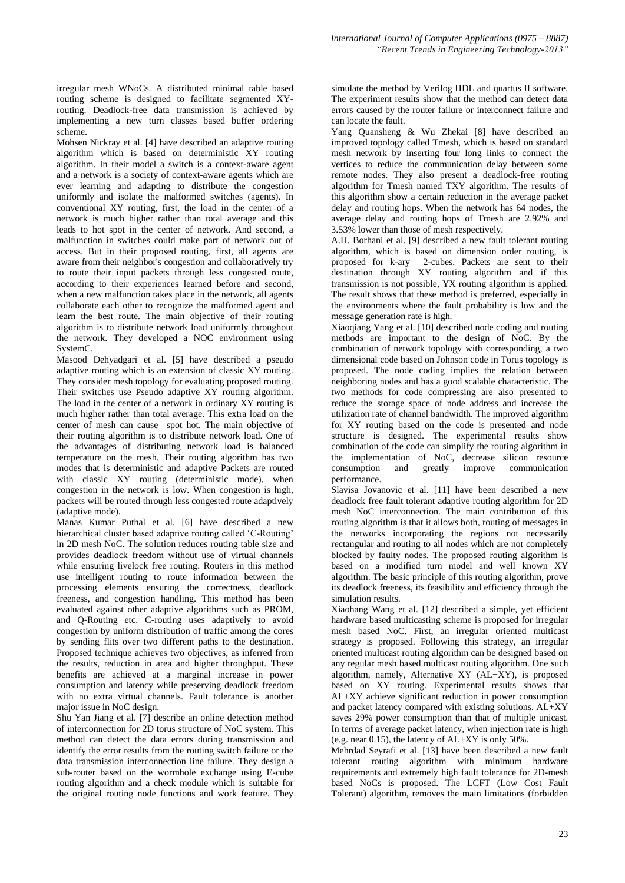irregular mesh WNoCs. A distributed minimal table based routing scheme is designed to facilitate segmented XYrouting. Deadlock-free data transmission is achieved by implementing a new turn classes based buffer ordering scheme.

Mohsen Nickray et al. [4] have described an adaptive routing algorithm which is based on deterministic XY routing algorithm. In their model a switch is a context-aware agent and a network is a society of context-aware agents which are ever learning and adapting to distribute the congestion uniformly and isolate the malformed switches (agents). In conventional XY routing, first, the load in the center of a network is much higher rather than total average and this leads to hot spot in the center of network. And second, a malfunction in switches could make part of network out of access. But in their proposed routing, first, all agents are aware from their neighbor's congestion and collaboratively try to route their input packets through less congested route, according to their experiences learned before and second, when a new malfunction takes place in the network, all agents collaborate each other to recognize the malformed agent and learn the best route. The main objective of their routing algorithm is to distribute network load uniformly throughout the network. They developed a NOC environment using SystemC.

Masood Dehyadgari et al. [5] have described a pseudo adaptive routing which is an extension of classic XY routing. They consider mesh topology for evaluating proposed routing. Their switches use Pseudo adaptive XY routing algorithm. The load in the center of a network in ordinary XY routing is much higher rather than total average. This extra load on the center of mesh can cause spot hot. The main objective of their routing algorithm is to distribute network load. One of the advantages of distributing network load is balanced temperature on the mesh. Their routing algorithm has two modes that is deterministic and adaptive Packets are routed with classic XY routing (deterministic mode), when congestion in the network is low. When congestion is high, packets will be routed through less congested route adaptively (adaptive mode).

Manas Kumar Puthal et al. [6] have described a new hierarchical cluster based adaptive routing called 'C-Routing' in 2D mesh NoC. The solution reduces routing table size and provides deadlock freedom without use of virtual channels while ensuring livelock free routing. Routers in this method use intelligent routing to route information between the processing elements ensuring the correctness, deadlock freeness, and congestion handling. This method has been evaluated against other adaptive algorithms such as PROM, and Q-Routing etc. C-routing uses adaptively to avoid congestion by uniform distribution of traffic among the cores by sending flits over two different paths to the destination. Proposed technique achieves two objectives, as inferred from the results, reduction in area and higher throughput. These benefits are achieved at a marginal increase in power consumption and latency while preserving deadlock freedom with no extra virtual channels. Fault tolerance is another major issue in NoC design.

Shu Yan Jiang et al. [7] describe an online detection method of interconnection for 2D torus structure of NoC system. This method can detect the data errors during transmission and identify the error results from the routing switch failure or the data transmission interconnection line failure. They design a sub-router based on the wormhole exchange using E-cube routing algorithm and a check module which is suitable for the original routing node functions and work feature. They simulate the method by Verilog HDL and quartus II software. The experiment results show that the method can detect data errors caused by the router failure or interconnect failure and can locate the fault.

Yang Quansheng & Wu Zhekai [8] have described an improved topology called Tmesh, which is based on standard mesh network by inserting four long links to connect the vertices to reduce the communication delay between some remote nodes. They also present a deadlock-free routing algorithm for Tmesh named TXY algorithm. The results of this algorithm show a certain reduction in the average packet delay and routing hops. When the network has 64 nodes, the average delay and routing hops of Tmesh are 2.92% and 3.53% lower than those of mesh respectively.

A.H. Borhani et al. [9] described a new fault tolerant routing algorithm, which is based on dimension order routing, is proposed for k-ary 2-cubes. Packets are sent to their destination through XY routing algorithm and if this transmission is not possible, YX routing algorithm is applied. The result shows that these method is preferred, especially in the environments where the fault probability is low and the message generation rate is high.

Xiaoqiang Yang et al. [10] described node coding and routing methods are important to the design of NoC. By the combination of network topology with corresponding, a two dimensional code based on Johnson code in Torus topology is proposed. The node coding implies the relation between neighboring nodes and has a good scalable characteristic. The two methods for code compressing are also presented to reduce the storage space of node address and increase the utilization rate of channel bandwidth. The improved algorithm for XY routing based on the code is presented and node structure is designed. The experimental results show combination of the code can simplify the routing algorithm in the implementation of NoC, decrease silicon resource consumption and greatly improve communication performance.

Slavisa Jovanovic et al. [11] have been described a new deadlock free fault tolerant adaptive routing algorithm for 2D mesh NoC interconnection. The main contribution of this routing algorithm is that it allows both, routing of messages in the networks incorporating the regions not necessarily rectangular and routing to all nodes which are not completely blocked by faulty nodes. The proposed routing algorithm is based on a modified turn model and well known XY algorithm. The basic principle of this routing algorithm, prove its deadlock freeness, its feasibility and efficiency through the simulation results.

Xiaohang Wang et al. [12] described a simple, yet efficient hardware based multicasting scheme is proposed for irregular mesh based NoC. First, an irregular oriented multicast strategy is proposed. Following this strategy, an irregular oriented multicast routing algorithm can be designed based on any regular mesh based multicast routing algorithm. One such algorithm, namely, Alternative XY (AL+XY), is proposed based on XY routing. Experimental results shows that AL+XY achieve significant reduction in power consumption and packet latency compared with existing solutions. AL+XY saves 29% power consumption than that of multiple unicast. In terms of average packet latency, when injection rate is high (e.g. near 0.15), the latency of AL+XY is only 50%.

Mehrdad Seyrafi et al. [13] have been described a new fault tolerant routing algorithm with minimum hardware requirements and extremely high fault tolerance for 2D-mesh based NoCs is proposed. The LCFT (Low Cost Fault Tolerant) algorithm, removes the main limitations (forbidden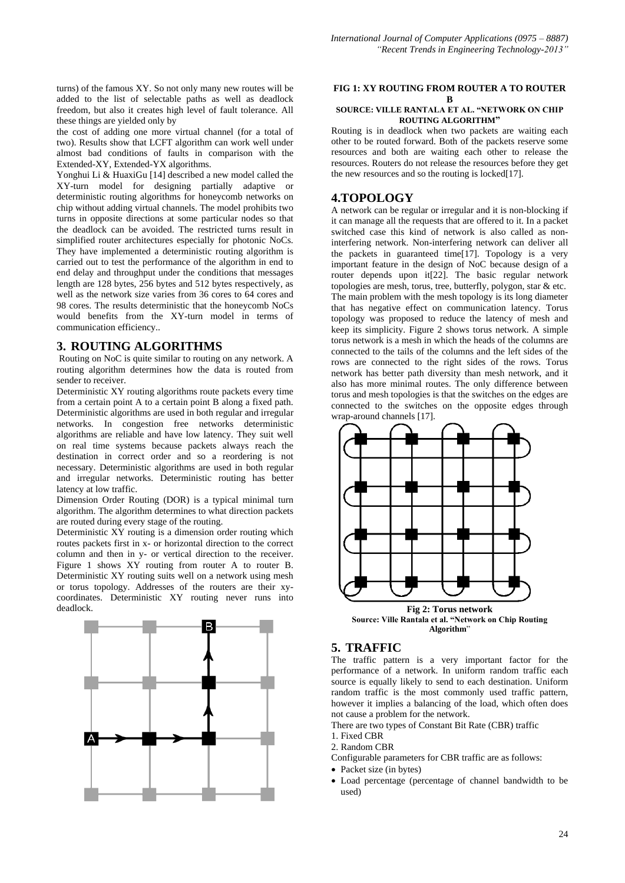turns) of the famous XY. So not only many new routes will be added to the list of selectable paths as well as deadlock freedom, but also it creates high level of fault tolerance. All these things are yielded only by

the cost of adding one more virtual channel (for a total of two). Results show that LCFT algorithm can work well under almost bad conditions of faults in comparison with the Extended-XY, Extended-YX algorithms.

Yonghui Li & HuaxiGu [14] described a new model called the XY-turn model for designing partially adaptive or deterministic routing algorithms for honeycomb networks on chip without adding virtual channels. The model prohibits two turns in opposite directions at some particular nodes so that the deadlock can be avoided. The restricted turns result in simplified router architectures especially for photonic NoCs. They have implemented a deterministic routing algorithm is carried out to test the performance of the algorithm in end to end delay and throughput under the conditions that messages length are 128 bytes, 256 bytes and 512 bytes respectively, as well as the network size varies from 36 cores to 64 cores and 98 cores. The results deterministic that the honeycomb NoCs would benefits from the XY-turn model in terms of communication efficiency..

## **3. ROUTING ALGORITHMS**

Routing on NoC is quite similar to routing on any network. A routing algorithm determines how the data is routed from sender to receiver.

Deterministic XY routing algorithms route packets every time from a certain point A to a certain point B along a fixed path. Deterministic algorithms are used in both regular and irregular networks. In congestion free networks deterministic algorithms are reliable and have low latency. They suit well on real time systems because packets always reach the destination in correct order and so a reordering is not necessary. Deterministic algorithms are used in both regular and irregular networks. Deterministic routing has better latency at low traffic.

Dimension Order Routing (DOR) is a typical minimal turn algorithm. The algorithm determines to what direction packets are routed during every stage of the routing.

Deterministic XY routing is a dimension order routing which routes packets first in x- or horizontal direction to the correct column and then in y- or vertical direction to the receiver. Figure 1 shows XY routing from router A to router B. Deterministic XY routing suits well on a network using mesh or torus topology. Addresses of the routers are their xycoordinates. Deterministic XY routing never runs into deadlock.



#### **FIG 1: XY ROUTING FROM ROUTER A TO ROUTER B**

#### **SOURCE: VILLE RANTALA ET AL. "NETWORK ON CHIP ROUTING ALGORITHM"**

Routing is in deadlock when two packets are waiting each other to be routed forward. Both of the packets reserve some resources and both are waiting each other to release the resources. Routers do not release the resources before they get the new resources and so the routing is locked[17].

## **4.TOPOLOGY**

A network can be regular or irregular and it is non-blocking if it can manage all the requests that are offered to it. In a packet switched case this kind of network is also called as noninterfering network. Non-interfering network can deliver all the packets in guaranteed time[17]. Topology is a very important feature in the design of NoC because design of a router depends upon it[22]. The basic regular network topologies are mesh, torus, tree, butterfly, polygon, star & etc. The main problem with the mesh topology is its long diameter that has negative effect on communication latency. Torus topology was proposed to reduce the latency of mesh and keep its simplicity. Figure 2 shows torus network. A simple torus network is a mesh in which the heads of the columns are connected to the tails of the columns and the left sides of the rows are connected to the right sides of the rows. Torus network has better path diversity than mesh network, and it also has more minimal routes. The only difference between torus and mesh topologies is that the switches on the edges are connected to the switches on the opposite edges through wrap-around channels [17].



**Algorithm**"

# **5. TRAFFIC**

The traffic pattern is a very important factor for the performance of a network. In uniform random traffic each source is equally likely to send to each destination. Uniform random traffic is the most commonly used traffic pattern, however it implies a balancing of the load, which often does not cause a problem for the network.

There are two types of Constant Bit Rate (CBR) traffic

- 1. Fixed CBR
- 2. Random CBR

Configurable parameters for CBR traffic are as follows:

- Packet size (in bytes)
- Load percentage (percentage of channel bandwidth to be used)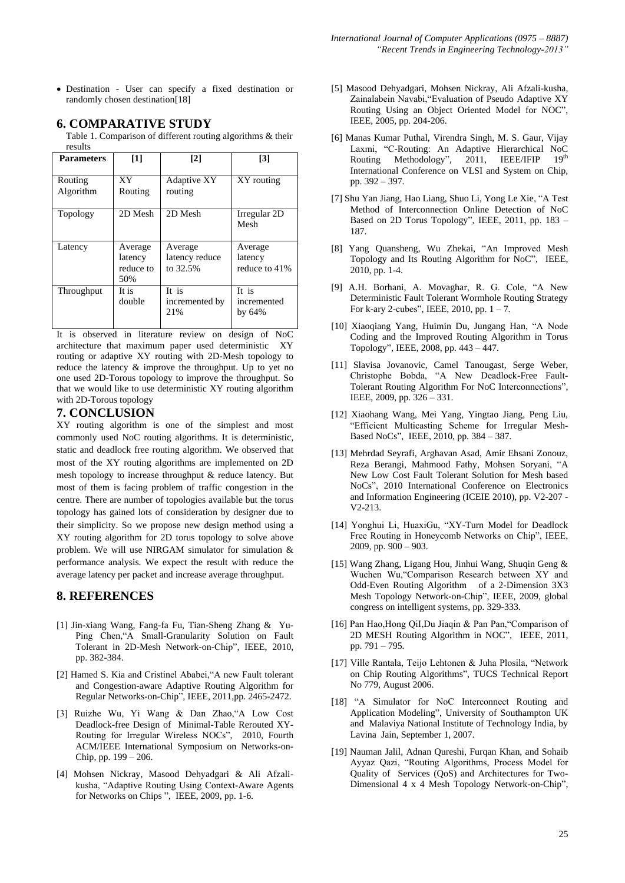Destination - User can specify a fixed destination or randomly chosen destination[18]

# **6. COMPARATIVE STUDY**

Table 1. Comparison of different routing algorithms & their results

| <b>Parameters</b>    | $[1]$                                  | $\lceil 2 \rceil$                     | $\lceil 3 \rceil$                   |
|----------------------|----------------------------------------|---------------------------------------|-------------------------------------|
| Routing<br>Algorithm | XY.<br>Routing                         | Adaptive XY<br>routing                | XY routing                          |
| Topology             | 2D Mesh                                | 2D Mesh                               | Irregular 2D<br>Mesh                |
| Latency              | Average<br>latency<br>reduce to<br>50% | Average<br>latency reduce<br>to 32.5% | Average<br>latency<br>reduce to 41% |
| Throughput           | It is<br>double                        | It is<br>incremented by<br>21%        | It is<br>incremented<br>by $64\%$   |

It is observed in literature review on design of NoC architecture that maximum paper used deterministic XY routing or adaptive XY routing with 2D-Mesh topology to reduce the latency & improve the throughput. Up to yet no one used 2D-Torous topology to improve the throughput. So that we would like to use deterministic XY routing algorithm with 2D-Torous topology

# **7. CONCLUSION**

XY routing algorithm is one of the simplest and most commonly used NoC routing algorithms. It is deterministic, static and deadlock free routing algorithm. We observed that most of the XY routing algorithms are implemented on 2D mesh topology to increase throughput & reduce latency. But most of them is facing problem of traffic congestion in the centre. There are number of topologies available but the torus topology has gained lots of consideration by designer due to their simplicity. So we propose new design method using a XY routing algorithm for 2D torus topology to solve above problem. We will use NIRGAM simulator for simulation & performance analysis. We expect the result with reduce the average latency per packet and increase average throughput.

## **8. REFERENCES**

- [1] Jin-xiang Wang, Fang-fa Fu, Tian-Sheng Zhang & Yu-Ping Chen,"A Small-Granularity Solution on Fault Tolerant in 2D-Mesh Network-on-Chip", IEEE, 2010, pp. 382-384.
- [2] Hamed S. Kia and Cristinel Ababei,"A new Fault tolerant and Congestion-aware Adaptive Routing Algorithm for Regular Networks-on-Chip", IEEE, 2011,pp. 2465-2472.
- [3] Ruizhe Wu, Yi Wang & Dan Zhao,"A Low Cost Deadlock-free Design of Minimal-Table Rerouted XY-Routing for Irregular Wireless NOCs", 2010, Fourth ACM/IEEE International Symposium on Networks-on-Chip, pp. 199 – 206.
- [4] Mohsen Nickray, Masood Dehyadgari & Ali Afzalikusha, "Adaptive Routing Using Context-Aware Agents for Networks on Chips ", IEEE, 2009, pp. 1-6.
- [5] Masood Dehyadgari, Mohsen Nickray, Ali Afzali-kusha, Zainalabein Navabi,"Evaluation of Pseudo Adaptive XY Routing Using an Object Oriented Model for NOC", IEEE, 2005, pp. 204-206.
- [6] Manas Kumar Puthal, Virendra Singh, M. S. Gaur, Vijay Laxmi, "C-Routing: An Adaptive Hierarchical NoC Routing Methodology", 2011, IEEE/IFIP 19th International Conference on VLSI and System on Chip, pp. 392 – 397.
- [7] Shu Yan Jiang, Hao Liang, Shuo Li, Yong Le Xie, "A Test Method of Interconnection Online Detection of NoC Based on 2D Torus Topology", IEEE, 2011, pp. 183 – 187.
- [8] Yang Quansheng, Wu Zhekai, "An Improved Mesh Topology and Its Routing Algorithm for NoC", IEEE, 2010, pp. 1-4.
- [9] A.H. Borhani, A. Movaghar, R. G. Cole, "A New Deterministic Fault Tolerant Wormhole Routing Strategy For k-ary 2-cubes", IEEE, 2010, pp.  $1 - 7$ .
- [10] Xiaoqiang Yang, Huimin Du, Jungang Han, "A Node Coding and the Improved Routing Algorithm in Torus Topology", IEEE, 2008, pp. 443 – 447.
- [11] Slavisa Jovanovic, Camel Tanougast, Serge Weber, Christophe Bobda, "A New Deadlock-Free Fault-Tolerant Routing Algorithm For NoC Interconnections", IEEE, 2009, pp. 326 – 331.
- [12] Xiaohang Wang, Mei Yang, Yingtao Jiang, Peng Liu, "Efficient Multicasting Scheme for Irregular Mesh-Based NoCs", IEEE, 2010, pp. 384 – 387.
- [13] Mehrdad Seyrafi, Arghavan Asad, Amir Ehsani Zonouz, Reza Berangi, Mahmood Fathy, Mohsen Soryani, "A New Low Cost Fault Tolerant Solution for Mesh based NoCs", 2010 International Conference on Electronics and Information Engineering (ICEIE 2010), pp. V2-207 - V2-213.
- [14] Yonghui Li, HuaxiGu, "XY-Turn Model for Deadlock Free Routing in Honeycomb Networks on Chip", IEEE, 2009, pp. 900 – 903.
- [15] Wang Zhang, Ligang Hou, Jinhui Wang, Shuqin Geng & Wuchen Wu,"Comparison Research between XY and Odd-Even Routing Algorithm of a 2-Dimension 3X3 Mesh Topology Network-on-Chip", IEEE, 2009, global congress on intelligent systems, pp. 329-333.
- [16] Pan Hao,Hong QiI,Du Jiaqin & Pan Pan,"Comparison of 2D MESH Routing Algorithm in NOC", IEEE, 2011, pp. 791 – 795.
- [17] Ville Rantala, Teijo Lehtonen & Juha Plosila, "Network on Chip Routing Algorithms", TUCS Technical Report No 779, August 2006.
- [18] "A Simulator for NoC Interconnect Routing and Application Modeling", University of Southampton UK and Malaviya National Institute of Technology India, by Lavina Jain, September 1, 2007.
- [19] Nauman Jalil, Adnan Qureshi, Furqan Khan, and Sohaib Ayyaz Qazi, "Routing Algorithms, Process Model for Quality of Services (QoS) and Architectures for Two-Dimensional 4 x 4 Mesh Topology Network-on-Chip",